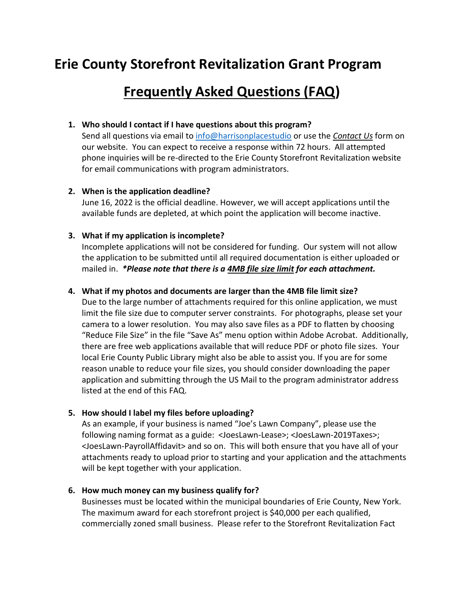# **Erie County Storefront Revitalization Grant Program**

# **Frequently Asked Questions (FAQ)**

#### **1. Who should I contact if I have questions about this program?**

Send all questions via email to [info@harrisonplacestudio](mailto:storefrontinfo@erie.gov) or use the *Contact Us* form on our website. You can expect to receive a response within 72 hours. All attempted phone inquiries will be re-directed to the Erie County Storefront Revitalization website for email communications with program administrators.

#### **2. When is the application deadline?**

June 16, 2022 is the official deadline. However, we will accept applications until the available funds are depleted, at which point the application will become inactive.

#### **3. What if my application is incomplete?**

Incomplete applications will not be considered for funding. Our system will not allow the application to be submitted until all required documentation is either uploaded or mailed in. *\*Please note that there is a 4MB file size limit for each attachment.*

#### **4. What if my photos and documents are larger than the 4MB file limit size?**

Due to the large number of attachments required for this online application, we must limit the file size due to computer server constraints. For photographs, please set your camera to a lower resolution. You may also save files as a PDF to flatten by choosing "Reduce File Size" in the file "Save As" menu option within Adobe Acrobat. Additionally, there are free web applications available that will reduce PDF or photo file sizes. Your local Erie County Public Library might also be able to assist you. If you are for some reason unable to reduce your file sizes, you should consider downloading the paper application and submitting through the US Mail to the program administrator address listed at the end of this FAQ.

#### **5. How should I label my files before uploading?**

As an example, if your business is named "Joe's Lawn Company", please use the following naming format as a guide: <JoesLawn-Lease>; <JoesLawn-2019Taxes>; <JoesLawn-PayrollAffidavit> and so on. This will both ensure that you have all of your attachments ready to upload prior to starting and your application and the attachments will be kept together with your application.

## **6. How much money can my business qualify for?**

Businesses must be located within the municipal boundaries of Erie County, New York. The maximum award for each storefront project is \$40,000 per each qualified, commercially zoned small business. Please refer to the Storefront Revitalization Fact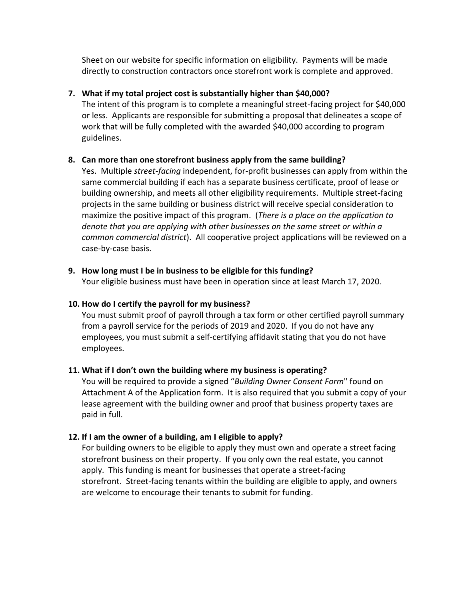Sheet on our website for specific information on eligibility. Payments will be made directly to construction contractors once storefront work is complete and approved.

## **7. What if my total project cost is substantially higher than \$40,000?**

The intent of this program is to complete a meaningful street-facing project for \$40,000 or less. Applicants are responsible for submitting a proposal that delineates a scope of work that will be fully completed with the awarded \$40,000 according to program guidelines.

## **8. Can more than one storefront business apply from the same building?**

Yes. Multiple *street-facing* independent, for-profit businesses can apply from within the same commercial building if each has a separate business certificate, proof of lease or building ownership, and meets all other eligibility requirements. Multiple street-facing projects in the same building or business district will receive special consideration to maximize the positive impact of this program. (*There is a place on the application to denote that you are applying with other businesses on the same street or within a common commercial district*). All cooperative project applications will be reviewed on a case-by-case basis.

## **9. How long must I be in business to be eligible for this funding?**

Your eligible business must have been in operation since at least March 17, 2020.

## **10. How do I certify the payroll for my business?**

You must submit proof of payroll through a tax form or other certified payroll summary from a payroll service for the periods of 2019 and 2020. If you do not have any employees, you must submit a self-certifying affidavit stating that you do not have employees.

# **11. What if I don't own the building where my business is operating?**

You will be required to provide a signed "*Building Owner Consent Form*" found on Attachment A of the Application form. It is also required that you submit a copy of your lease agreement with the building owner and proof that business property taxes are paid in full.

# **12. If I am the owner of a building, am I eligible to apply?**

For building owners to be eligible to apply they must own and operate a street facing storefront business on their property. If you only own the real estate, you cannot apply. This funding is meant for businesses that operate a street-facing storefront. Street-facing tenants within the building are eligible to apply, and owners are welcome to encourage their tenants to submit for funding.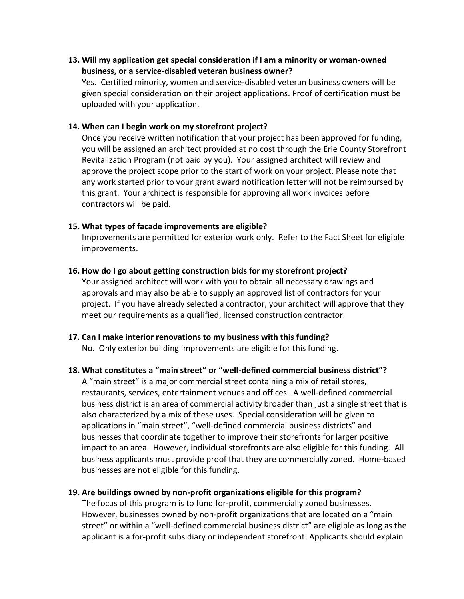**13. Will my application get special consideration if I am a minority or woman-owned business, or a service-disabled veteran business owner?**

Yes. Certified minority, women and service-disabled veteran business owners will be given special consideration on their project applications. Proof of certification must be uploaded with your application.

#### **14. When can I begin work on my storefront project?**

Once you receive written notification that your project has been approved for funding, you will be assigned an architect provided at no cost through the Erie County Storefront Revitalization Program (not paid by you). Your assigned architect will review and approve the project scope prior to the start of work on your project. Please note that any work started prior to your grant award notification letter will not be reimbursed by this grant. Your architect is responsible for approving all work invoices before contractors will be paid.

#### **15. What types of facade improvements are eligible?**

Improvements are permitted for exterior work only. Refer to the Fact Sheet for eligible improvements.

#### **16. How do I go about getting construction bids for my storefront project?**

Your assigned architect will work with you to obtain all necessary drawings and approvals and may also be able to supply an approved list of contractors for your project. If you have already selected a contractor, your architect will approve that they meet our requirements as a qualified, licensed construction contractor.

**17. Can I make interior renovations to my business with this funding?** No. Only exterior building improvements are eligible for this funding.

#### **18. What constitutes a "main street" or "well-defined commercial business district"?**

A "main street" is a major commercial street containing a mix of retail stores, restaurants, services, entertainment venues and offices. A well-defined commercial business district is an area of commercial activity broader than just a single street that is also characterized by a mix of these uses. Special consideration will be given to applications in "main street", "well-defined commercial business districts" and businesses that coordinate together to improve their storefronts for larger positive impact to an area. However, individual storefronts are also eligible for this funding. All business applicants must provide proof that they are commercially zoned. Home-based businesses are not eligible for this funding.

#### **19. Are buildings owned by non-profit organizations eligible for this program?**

The focus of this program is to fund for-profit, commercially zoned businesses. However, businesses owned by non-profit organizations that are located on a "main street" or within a "well-defined commercial business district" are eligible as long as the applicant is a for-profit subsidiary or independent storefront. Applicants should explain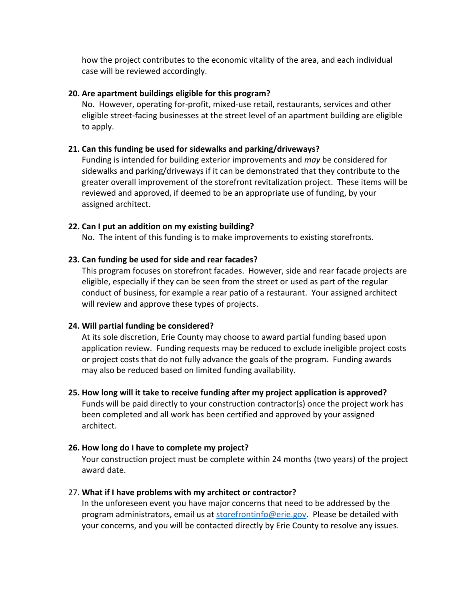how the project contributes to the economic vitality of the area, and each individual case will be reviewed accordingly.

#### **20. Are apartment buildings eligible for this program?**

No. However, operating for-profit, mixed-use retail, restaurants, services and other eligible street-facing businesses at the street level of an apartment building are eligible to apply.

#### **21. Can this funding be used for sidewalks and parking/driveways?**

Funding is intended for building exterior improvements and *may* be considered for sidewalks and parking/driveways if it can be demonstrated that they contribute to the greater overall improvement of the storefront revitalization project. These items will be reviewed and approved, if deemed to be an appropriate use of funding, by your assigned architect.

#### **22. Can I put an addition on my existing building?**

No. The intent of this funding is to make improvements to existing storefronts.

#### **23. Can funding be used for side and rear facades?**

This program focuses on storefront facades. However, side and rear facade projects are eligible, especially if they can be seen from the street or used as part of the regular conduct of business, for example a rear patio of a restaurant. Your assigned architect will review and approve these types of projects.

#### **24. Will partial funding be considered?**

At its sole discretion, Erie County may choose to award partial funding based upon application review. Funding requests may be reduced to exclude ineligible project costs or project costs that do not fully advance the goals of the program. Funding awards may also be reduced based on limited funding availability.

#### **25. How long will it take to receive funding after my project application is approved?**

Funds will be paid directly to your construction contractor(s) once the project work has been completed and all work has been certified and approved by your assigned architect.

#### **26. How long do I have to complete my project?**

Your construction project must be complete within 24 months (two years) of the project award date.

#### 27. **What if I have problems with my architect or contractor?**

In the unforeseen event you have major concerns that need to be addressed by the program administrators, email us at [storefrontinfo@erie.gov.](mailto:storefrontinfo@erie.gov) Please be detailed with your concerns, and you will be contacted directly by Erie County to resolve any issues.